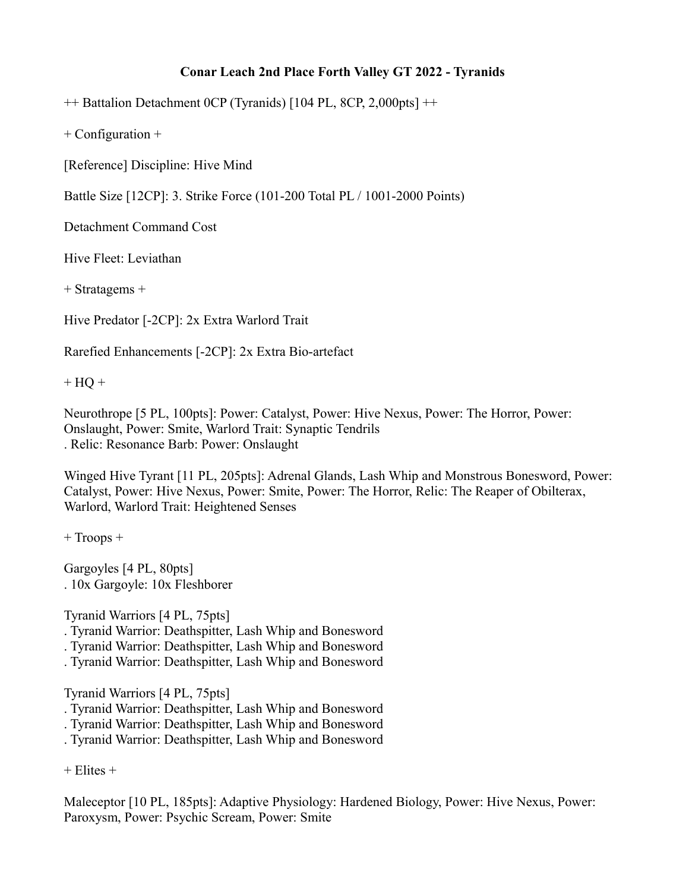## **Conar Leach 2nd Place Forth Valley GT 2022 - Tyranids**

++ Battalion Detachment 0CP (Tyranids) [104 PL, 8CP, 2,000pts] ++

+ Configuration +

[Reference] Discipline: Hive Mind

Battle Size [12CP]: 3. Strike Force (101-200 Total PL / 1001-2000 Points)

Detachment Command Cost

Hive Fleet: Leviathan

+ Stratagems +

Hive Predator [-2CP]: 2x Extra Warlord Trait

Rarefied Enhancements [-2CP]: 2x Extra Bio-artefact

 $+ HQ +$ 

Neurothrope [5 PL, 100pts]: Power: Catalyst, Power: Hive Nexus, Power: The Horror, Power: Onslaught, Power: Smite, Warlord Trait: Synaptic Tendrils . Relic: Resonance Barb: Power: Onslaught

Winged Hive Tyrant [11 PL, 205pts]: Adrenal Glands, Lash Whip and Monstrous Bonesword, Power: Catalyst, Power: Hive Nexus, Power: Smite, Power: The Horror, Relic: The Reaper of Obilterax, Warlord, Warlord Trait: Heightened Senses

+ Troops +

Gargoyles [4 PL, 80pts] . 10x Gargoyle: 10x Fleshborer

Tyranid Warriors [4 PL, 75pts]

- . Tyranid Warrior: Deathspitter, Lash Whip and Bonesword
- . Tyranid Warrior: Deathspitter, Lash Whip and Bonesword
- . Tyranid Warrior: Deathspitter, Lash Whip and Bonesword

Tyranid Warriors [4 PL, 75pts]

. Tyranid Warrior: Deathspitter, Lash Whip and Bonesword

. Tyranid Warrior: Deathspitter, Lash Whip and Bonesword

. Tyranid Warrior: Deathspitter, Lash Whip and Bonesword

 $+$  Elites  $+$ 

Maleceptor [10 PL, 185pts]: Adaptive Physiology: Hardened Biology, Power: Hive Nexus, Power: Paroxysm, Power: Psychic Scream, Power: Smite